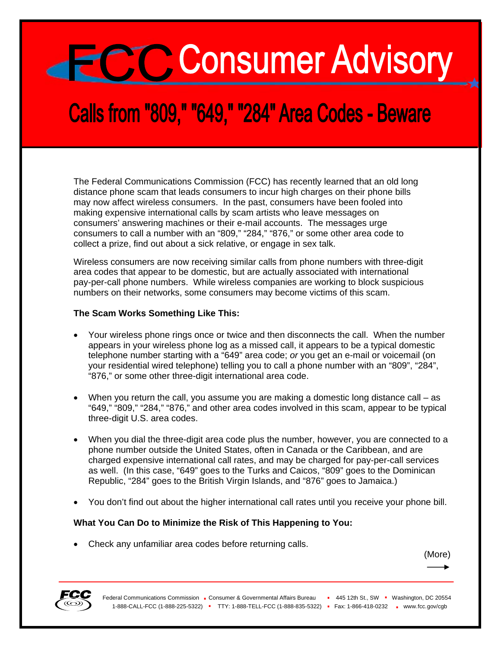# **ECCC** Consumer Advisory

## **Calls from "809," "649," "284" Area Codes - Beware**

The Federal Communications Commission (FCC) has recently learned that an old long distance phone scam that leads consumers to incur high charges on their phone bills may now affect wireless consumers. In the past, consumers have been fooled into making expensive international calls by scam artists who leave messages on consumers' answering machines or their e-mail accounts. The messages urge consumers to call a number with an "809," "284," "876," or some other area code to collect a prize, find out about a sick relative, or engage in sex talk.

Wireless consumers are now receiving similar calls from phone numbers with three-digit area codes that appear to be domestic, but are actually associated with international pay-per-call phone numbers. While wireless companies are working to block suspicious numbers on their networks, some consumers may become victims of this scam.

#### **The Scam Works Something Like This:**

- Your wireless phone rings once or twice and then disconnects the call. When the number appears in your wireless phone log as a missed call, it appears to be a typical domestic telephone number starting with a "649" area code; *or* you get an e-mail or voicemail (on your residential wired telephone) telling you to call a phone number with an "809", "284", "876," or some other three-digit international area code.
- When you return the call, you assume you are making a domestic long distance call as "649," "809," "284," "876," and other area codes involved in this scam, appear to be typical three-digit U.S. area codes.
- When you dial the three-digit area code plus the number, however, you are connected to a phone number outside the United States, often in Canada or the Caribbean, and are charged expensive international call rates, and may be charged for pay-per-call services as well. (In this case, "649" goes to the Turks and Caicos, "809" goes to the Dominican Republic, "284" goes to the British Virgin Islands, and "876" goes to Jamaica.)
- You don't find out about the higher international call rates until you receive your phone bill.

#### **What You Can Do to Minimize the Risk of This Happening to You:**

• Check any unfamiliar area codes before returning calls.

(More)

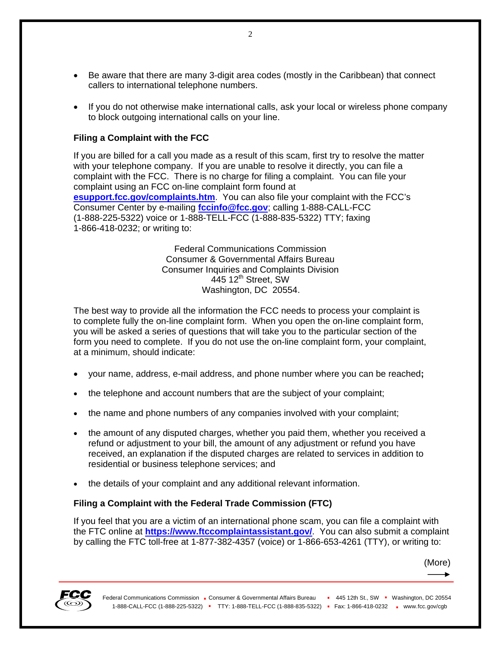- Be aware that there are many 3-digit area codes (mostly in the Caribbean) that connect callers to international telephone numbers.
- If you do not otherwise make international calls, ask your local or wireless phone company to block outgoing international calls on your line.

### **Filing a Complaint with the FCC**

If you are billed for a call you made as a result of this scam, first try to resolve the matter with your telephone company. If you are unable to resolve it directly, you can file a complaint with the FCC. There is no charge for filing a complaint. You can file your complaint using an FCC on-line complaint form found at **[esupport.fcc.gov/complaints.htm](http://esupport.fcc.gov/complaints.htm)**. You can also file your complaint with the FCC's Consumer Center by e-mailing **[fccinfo@fcc.gov](mailto:fccinfo@fcc.gov)**; calling 1-888-CALL-FCC (1-888-225-5322) voice or 1-888-TELL-FCC (1-888-835-5322) TTY; faxing 1-866-418-0232; or writing to:

> Federal Communications Commission Consumer & Governmental Affairs Bureau Consumer Inquiries and Complaints Division 445 12<sup>th</sup> Street, SW Washington, DC 20554.

The best way to provide all the information the FCC needs to process your complaint is to complete fully the on-line complaint form. When you open the on-line complaint form, you will be asked a series of questions that will take you to the particular section of the form you need to complete. If you do not use the on-line complaint form, your complaint, at a minimum, should indicate:

- your name, address, e-mail address, and phone number where you can be reached**;**
- the telephone and account numbers that are the subject of your complaint;
- the name and phone numbers of any companies involved with your complaint;
- the amount of any disputed charges, whether you paid them, whether you received a refund or adjustment to your bill, the amount of any adjustment or refund you have received, an explanation if the disputed charges are related to services in addition to residential or business telephone services; and
- the details of your complaint and any additional relevant information.

#### **Filing a Complaint with the Federal Trade Commission (FTC)**

If you feel that you are a victim of an international phone scam, you can file a complaint with the FTC online at **[https://www.ftccomplaintassistant.gov/](http://www.fcc.gov/fcc-bin/bye?https://www.ftccomplaintassistant.gov/)**. You can also submit a complaint by calling the FTC toll-free at 1-877-382-4357 (voice) or 1-866-653-4261 (TTY), or writing to:

(More)